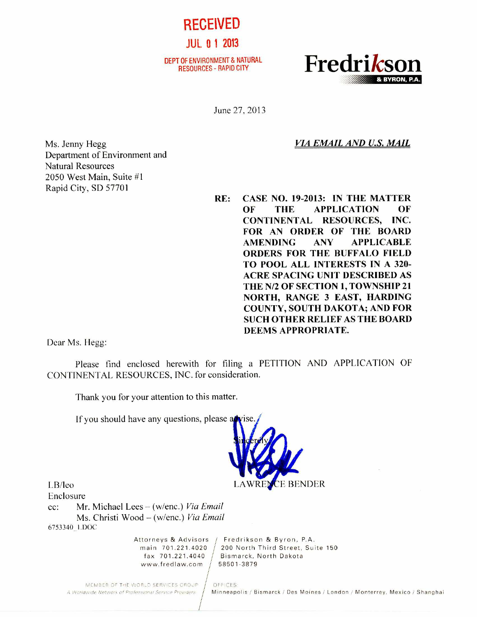RECEIVED

JUL. 0 1 2013

DEPT OF ENVIRONMENT & NATURAL<br>RESOURCES - RAPID CITY



June 27, 2013

*VIA EMAIL AND U.S. MAIL* 

Ms. Jenny Hegg Department of Environment and Natural Resources 2050 West Main, Suite #1 Rapid City, SD 57701

**RE: CASE NO. 19-2013: IN THE MATTER OF THE APPLICATION OF CONTINENTAL RESOURCES, INC. FOR AN ORDER OF THE BOARD AMENDING ANY APPLICABLE ORDERS FOR THE BUFFALO FIELD TO POOL ALL INTERESTS IN A 320- ACRE SPACING UNIT DESCRIBED AS THE N/2 OF SECTION 1, TOWNSHIP 21 NORTH, RANGE 3 EAST, HARDING COUNTY, SOUTH DAKOTA; AND FOR SUCH OTHER RELIEF AS THE BOARD DEEMS APPROPRIATE.** 

Dear Ms. Hegg:

Please find enclosed herewith for filing a PETITION AND APPLICATION OF CONTINENTAL RESOURCES, INC. for consideration.

Thank you for your attention to this matter.

If you should have any questions, please a



LB/leo Enclosure

cc: Mr. Michael Lees — (w/enc.) *Via Email*  Ms. Christi Wood — (w/enc.) *Via Email*  6753340\_1.DOC

www.fredlaw.com / 58501-3879

Attorneys & Advisors / Fredrikson & Byron, P.A. main  $701.221.4020$  / 200 North Third Street, Suite 150 fax 701.221.4040 Bismarck, North Dakota

MEMBER OF THE WORLD SERVICES GROUP | OFFICES

A Worldwide Network of Professional Service Providers / Minneapolis / Bismarck / Des Moines / London / Monterrey, Mexico / Shanghai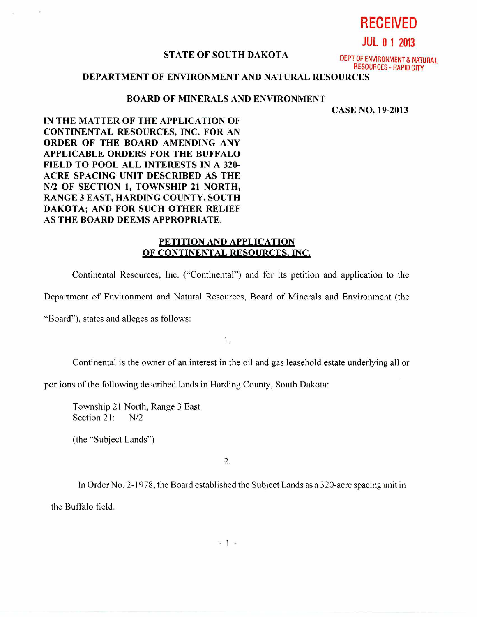**RECEIVED** 

**JUL 0 1 2013** 

#### **STATE OF SOUTH DAKOTA**

DEPT OF ENVIRONMENT & NATURAL RESOURCES - RAPID CITY

# **DEPARTMENT OF ENVIRONMENT AND NATURAL RESOURCES**

# **BOARD OF MINERALS AND ENVIRONMENT**

**CASE NO. 19-2013** 

**IN THE MATTER OF THE APPLICATION OF CONTINENTAL RESOURCES, INC. FOR AN ORDER OF THE BOARD AMENDING ANY APPLICABLE ORDERS FOR THE BUFFALO FIELD TO POOL ALL INTERESTS IN A 320- ACRE SPACING UNIT DESCRIBED AS THE N/2 OF SECTION 1, TOWNSHIP 21 NORTH, RANGE 3 EAST, HARDING COUNTY, SOUTH DAKOTA; AND FOR SUCH OTHER RELIEF AS THE BOARD DEEMS APPROPRIATE.** 

### **PETITION AND APPLICATION OF CONTINENTAL RESOURCES, INC.**

Continental Resources, Inc. ("Continental") and for its petition and application to the

Department of Environment and Natural Resources, Board of Minerals and Environment (the

"Board"), states and alleges as follows:

1.

Continental is the owner of an interest in the oil and gas leasehold estate underlying all or

portions of the following described lands in Harding County, South Dakota:

Township 21 North, Range 3 East Section 21: N/2

(the "Subject Lands")

2.

In Order No. 2-1978, the Board established the Subject Lands as a 320-acre spacing unit in the Buffalo field.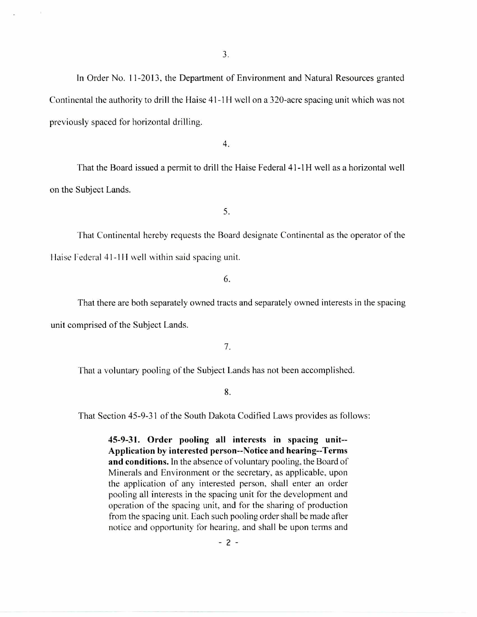In Order No. 11-2013, the Department of Environment and Natural Resources granted Continental the authority to drill the Haise 41-1H well on a 320-acre spacing unit which was not previously spaced for horizontal drilling.

4.

That the Board issued a permit to drill the Haise Federal 41-1H well as a horizontal well on the Subject Lands.

5.

That Continental hereby requests the Board designate Continental as the operator of the Haise Federal 41-1H well within said spacing unit.

6.

That there are both separately owned tracts and separately owned interests in the spacing unit comprised of the Subject Lands.

7.

That a voluntary pooling of the Subject Lands has not been accomplished.

8.

That Section 45-9-31 of the South Dakota Codified Laws provides as follows:

**45-9-31. Order pooling all interests in spacing unit-- Application by interested person--Notice and hearing--Terms and conditions.** In the absence of voluntary pooling, the Board of Minerals and Environment or the secretary, as applicable, upon the application of any interested person, shall enter an order pooling all interests in the spacing unit for the development and operation of the spacing unit, and for the sharing of production from the spacing unit. Each such pooling order shall be made after notice and opportunity for hearing, and shall be upon terms and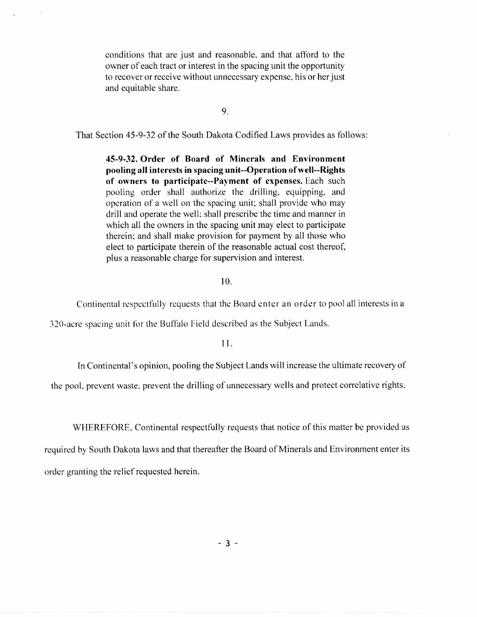conditions that are just and reasonable, and that afford to the owner of each tract or interest in the spacing unit the opportunity to recover or receive without unnecessary expense, his or her just and equitable share.

9.

That Section 45-9-32 of the South Dakota Codified Laws provides as follows:

**45-9-32. Order of Board of Minerals and Environment pooling all interests in spacing unit--Operation of well--Rights of owners to participate--Payment of expenses.** Each such pooling order shall authorize the drilling, equipping, and operation of a well on the spacing unit; shall provide who may drill and operate the well; shall prescribe the time and manner in which all the owners in the spacing unit may elect to participate therein; and shall make provision for payment by all those who elect to participate therein of the reasonable actual cost thereof, plus a reasonable charge for supervision and interest.

### 10.

Continental respectfully requests that the Board enter an order to pool all interests in a

320-acre spacing unit for the Buffalo Field described as the Subject Lands.

# **11.**

In Continental's opinion, pooling the Subject Lands will increase the ultimate recovery of

the pool, prevent waste, prevent the drilling of unnecessary wells and protect correlative rights.

WHEREFORE, Continental respectfully requests that notice of this matter be provided as

required by South Dakota laws and that thereafter the Board of Minerals and Environment enter its order granting the relief requested herein.